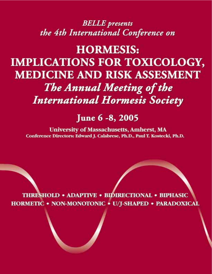# **BELLE** presents the 4th International Conference on

# **HORMESIS: IMPLICATIONS FOR TOXICOLOGY, MEDICINE AND RISK ASSESMENT** The Annual Meeting of the **International Hormesis Society**

# June 6 -8, 2005

**University of Massachusetts, Amherst, MA** Conference Directors: Edward J. Calabrese, Ph.D., Paul T. Kostecki, Ph.D.

**THRESHOLD • ADAPTIVE • BIDIRECTIONAL • BIPHASIC** HORMETIC . NON-MONOTONIC . U/J-SHAPED . PARADOXICAL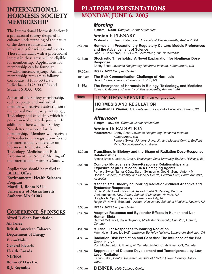# **INTERNATIONAL HORMESIS SOCIETY MEMBERSHIP**

The International Hormesis Society is a professional society designed to enhance understanding of the nature of the dose response and its implications for science and society. Those individuals with a professional interest in these areas will be eligible for membership. Applications for membership can be found at www.hormesissociety.org. Annual membership rates are as follows: Corporate - \$1000.00 (US), Individual - \$125.00 (US) and Student \$10.00 (US).

As part of the Society membership, each corporate and individual member will receive a subscription to the journal Nonlinearity in Biology, Toxicology and Medicine, which is a peer-reviewed quarterly journal. In additional there will be a Society Newsletter developed for the membership. Members will receive a 25% reduction in registration fees to the International Conference on Hormesis: Implications for Toxicology, Medicine and Risk Assessment, the Annual Meeting of the International Hormesis Society.

Applications should be mailed to: **BELLE Office Environmental Health Sciences Program Morrill I, Room N344 University of Massachusetts Amherst, MA 01003**

# **CONFERENCE SPONSORS**

**Alfred P. Sloan Foundation Air Force British American Tobacco Department of Energy ExxonMobil General Electric Health Canada NIPERA Rohm & Hass Co. R.J. Reynolds**

# **PLATFORM PRESENTATIONS MONDAY, JUNE 6, 2005**

### *Morning* **8:30am – Noon** *Campus Center Auditorium* **Session I: PLENARY Moderator:** Edward Calabrese, *University of Massachusetts, Amherst, MA* **Hormesis in Precautionary Regulatory Culture: Models Preferences and the Advancement of Science** Jaap C. Hanekamp, *CEO HAN, Zoetermeer, The Netherlands* **Stochastic Thresholds: A Novel Explanation for Nonlinear Dose Response** Bobby Scott, *Lovelace Respiratory Research Institute, Albuquerque, NM* **Break** *163C Campus Center* **The Risk Communication Challenge of Hormesis** David Ropeik, *Harvard University, Boston, MA* **The Emergence of Hormesis in Biology, Toxicology, and Medicine** Edward Calabrese, *University of Massachusetts, Amherst, MA Afternoon* **1:30pm – 5:30pm** *Campus Center Auditorium* **Session II: RADIATION Moderators:** Bobby Scott, *Lovelace Respiratory Research Institute, Albuquerque, NM* Pamela Sykes, *Flinders University and Medical Centre, Bedford Park, South Australia, Australia* **Transitions in Biology and the Shape of Radiation Dose-Response Relationships** Antone Brooks, Lezlie A. Couch, *Washington State University TriCities, Richland, WA* **Complex Mutagenesis Dose-Response Relationships after Exposure of pKZ1 Mice to DNA Damaging Agents** Pamela Sykes, Tanya K Day, Sarah Swinburne, Gouxin Zeng, Antony M. Hooker, *Flinders University and Medical Centre, Bedford Park, South Australia, Australia* **Mechanisms Underlying Ionizing Radiation-Induced Adaptive and Bystander Responses** Sonia M. de Toledo, Nesrin A. Asaad, Badri N. Pandey, Perumal Venkatachalam, *New Jersey School of Medicine, Newark, NJ*  Douglas R. Spitz, *University of Iowa, Iowa City, IA* Roger W. Howell, Edouard I. Azzam, *New Jersey School of Medicine, Newark, NJ* **Break** *163C Campus Center* **Adaptive Response and Bystander Effects in Human and Non-Human Biota** Carmel Mothersill, Colin Seymour, *McMaster University, Hamilton, Ontario, Canada* **Multicellular Responses to Ionizing Radiation** Mary Helen Barcellos-Hoff, *Lawrence Berkeley National Laboratory, Berkeley, CA* **Radiation Risk Prediction and Genetics: The Influence of the P53 Gene in vivo** Ron Mitchel, Atomic Energy of Canada Limited, Chalk River, ON, Canada **Suppression of Disease Development and Tumorigenesis by Low Level Radiation** Kazuo Sakai, *Central Research Institute of Electric Power Industry, Tokyo, Japan* 8:30am 9:15am 10:00am 10:30am 11:15am **Noon** 1:30pm 2:00pm 2:30pm 3:00pm 3:30pm 4:00pm 4:30pm 5:00pm **LUNCHEON SPEAKER** *1009 Campus Center* **HORMESIS AND REGULATION Jonathan B. Wiener,** *J.D., Professor of Law, Duke University, Durham, NC*

**DINNER** *1009 Campus Center* 6:00pm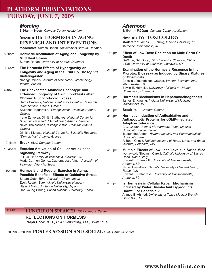# **PLATFORM PRESENTATIONS TUESDAY, JUNE 7, 2005**

### *Morning*

**8:30am – Noon** *Campus Center Auditorium*

### **Session III: HORMESIS IN AGING RESEARCH AND INTERVENTIONS**

**Moderator:** Suresh Rattan, *University of Aarhus, Denmark*

8:30am 9:05am 9:40am 10:15am 10:45am **Hormetic Modulation of Aging and Longevity by Mild Heat Stress** Suresh Rattan, *University of Aarhus, Denmark* **The Hormetic Effects of Hypergravity on Longevity and Aging in the Fruit Fly** *Drosophila melanogaster* Nadege Minois, *Institute of Molecular Biotechnology, Vienna, Austria* **The Unexpected Anabolic Phenotype and Extended Longevity of Skin Fibroblasts after Chronic Glucocorticoid Excess** Harris Pratsinis, *National Centre for Scientific Research "Demokritos", Athens, Greece*  Stylianos Tsagarakis, *"Evangelismos" Hospital, Athens, Greece* Irene Zervolea, Dimitri Stathakos, *National Centre for Scientific Research "Demokritos", Athens, Greece* Nikos Thalassinos, *"Evangelismos" Hospital, Athens, Greece* Dimitris Kletsas, *National Centre for Scientific Research "Demokritos", Athens, Greece* **Break** *163C Campus Center* **Exercise Activation of Cellular Antioxidant Signaling Pathway** 

Li Li Ji, *University of Wisconsin, Madison, WI* Maria-Carmen Gomez-Cabrera, Jose Vina, *University of Valencia, Valencia, Spain*

11:20am **Hormesis and Regular Exercise in Aging: Possible Beneficial Effects of Oxidative Stress** Sataro Goto, *Toho University, Chiba, Japan* Zsolt Radak, *Semmelweis University, Hungary* Hisashi Naito, *Juntendo University, Japan* Hae Young Chung, *Pusan National University, Korea*

### *Afternoon*

**1:30pm – 5:00pm** *Campus Center Auditorium*

**Session IV: TOXICOLOGY Moderator:** James E. Klaunig, *Indiana University of Medicine, Indianapolis, IN*

- **Effect of Low-Dose Radiation on Male Germ Cell Death** G-W Liu, S-L Gong, *Jilin University, Changch, China* L Cai, *University of Louisville, Louisville, KY* 1:30pm
- **Examination of the Hormesis Response in the Microtox Bioassay as Induced by Binary Mixtures of Chemicals** Cecelia L Youngblood-Oswald, *Weston Solutions Inc., Westchester, PA* Edwin E. Herricks, *University of Illinois at Urbana-Champaign, Urbana, IL* 2:00pm
- **Hormesis Mechanisms in Hepatocarcinogenesis** James E. Klaunig, *Indiana University of Medicine, Indianapolis, IN* 2:30pm
- **Break** *163C Campus Center* 3:00pm

**Hormetic Induction of Antioxidative and Antiapoptotic Proteins for cGMP-mediated Adaptive Tolerance**  C.C. Chiueh, *School of Pharmacy, Taipei Medical University, Taipei, Taiwan* Tsugunobu Andoh, *Toyama Medical and Pharmaceutical University, Japan* P. Boon Chock, *National Institute of Heart, Lung, and Blood Institute, Bethesda, MD*  3:30pm

**Multiple Effects of Low Lead Levels in Swiss Mice** Ivo Iavicoli, Giovanni Carelli, *Catholic University of Sacred Heart, Rome, Italy* Edward J. Stanek III, *University of Massachusetts, Amherst, MA* Nicolò Castellino, *Catholic University of Sacred Heart, Rome, Italy*  Edward J. Calabrese, *University of Massachusetts, Amherst, MA* 4:00pm

### **Is Hormesis in Cellular Repair Mechanisms Induced by Water Disinfectant Byproducts Harmful or Beneficial?** Ahmed E. Ahmed, *University of Texas Medical Branch, Galveston, TX* 4:30pm

**Noon LUNCHEON SPEAKER** *1009 Campus Center*

### **REFLECTIONS ON HORMESIS**

**Ralph Cook, M.D.,** *RRC Consulting, LLC, Midland, MI*

5:00pm – 7:00pm **POSTER SESSION AND SOCIAL** *163C Campus Center*